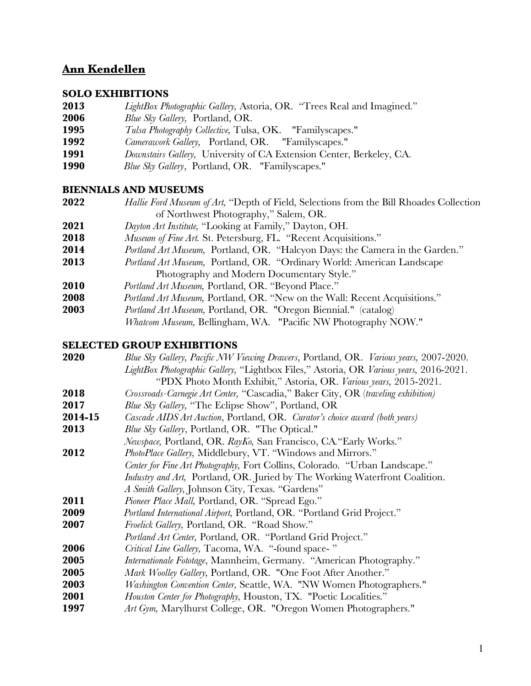# **Ann Kendellen**

#### **SOLO EXHIBITIONS**

- *LightBox Photographic Gallery,* Astoria, OR. "Trees Real and Imagined."
- *Blue Sky Gallery,* Portland, OR.
- *Tulsa Photography Collective,* Tulsa, OK. "Familyscapes."
- *Camerawork Gallery,* Portland, OR. "Familyscapes."
- *Downstairs Gallery,* University of CA Extension Center, Berkeley, CA.
- *Blue Sky Gallery*, Portland, OR. "Familyscapes."

### **BIENNIALS AND MUSEUMS**

- *Hallie Ford Museum of Art,* "Depth of Field, Selections from the Bill Rhoades Collection of Northwest Photography," Salem, OR.
- *Dayton Art Institute,* "Looking at Family," Dayton, OH.
- *Museum of Fine Art.* St. Petersburg, FL. "Recent Acquisitions."
- *Portland Art Museum,* Portland, OR. "Halcyon Days: the Camera in the Garden."
- *Portland Art Museum,* Portland, OR. "Ordinary World: American Landscape Photography and Modern Documentary Style."
- *Portland Art Museum,* Portland, OR. "Beyond Place."
- *Portland Art Museum,* Portland, OR. "New on the Wall: Recent Acquisitions."
- *Portland Art Museum,* Portland, OR. "Oregon Biennial." (catalog)
	- *Whatcom Museum,* Bellingham, WA. "Pacific NW Photography NOW."

#### **SELECTED GROUP EXHIBITIONS**

| 2020    | Blue Sky Gallery, Pacific NW Viewing Drawers, Portland, OR. Various years, 2007-2020.  |
|---------|----------------------------------------------------------------------------------------|
|         | LightBox Photographic Gallery, "Lightbox Files," Astoria, OR Various years, 2016-2021. |
|         | "PDX Photo Month Exhibit," Astoria, OR. Various years, 2015-2021.                      |
| 2018    | Crossroads-Carnegie Art Center, "Cascadia," Baker City, OR (traveling exhibition)      |
| 2017    | Blue Sky Gallery, "The Eclipse Show", Portland, OR                                     |
| 2014-15 | Cascade AIDS Art Auction, Portland, OR. Curator's choice award (both years)            |
| 2013    | Blue Sky Gallery, Portland, OR. "The Optical."                                         |
|         | Newspace, Portland, OR. RayKo, San Francisco, CA. "Early Works."                       |
| 2012    | PhotoPlace Gallery, Middlebury, VT. "Windows and Mirrors."                             |
|         | Center for Fine Art Photography, Fort Collins, Colorado. "Urban Landscape."            |
|         | <i>Industry and Art</i> , Portland, OR. Juried by The Working Waterfront Coalition.    |
|         | A Smith Gallery, Johnson City, Texas. "Gardens"                                        |
| 2011    | Pioneer Place Mall, Portland, OR. "Spread Ego."                                        |
| 2009    | Portland International Airport, Portland, OR. "Portland Grid Project."                 |
| 2007    | Froelick Gallery, Portland, OR. "Road Show."                                           |
|         | Portland Art Center, Portland, OR. "Portland Grid Project."                            |
| 2006    | Critical Line Gallery, Tacoma, WA. "-found space-"                                     |
| 2005    | <i>Internationale Fototage</i> , Mannheim, Germany. "American Photography."            |
| 2005    | Mark Woolley Gallery, Portland, OR. "One Foot After Another."                          |
| 2003    | <i>Washington Convention Center</i> , Seattle, WA. "NW Women Photographers."           |
| 2001    | Houston Center for Photography, Houston, TX. "Poetic Localities."                      |
| 1997    | Art Gym, Marylhurst College, OR. "Oregon Women Photographers."                         |
|         |                                                                                        |